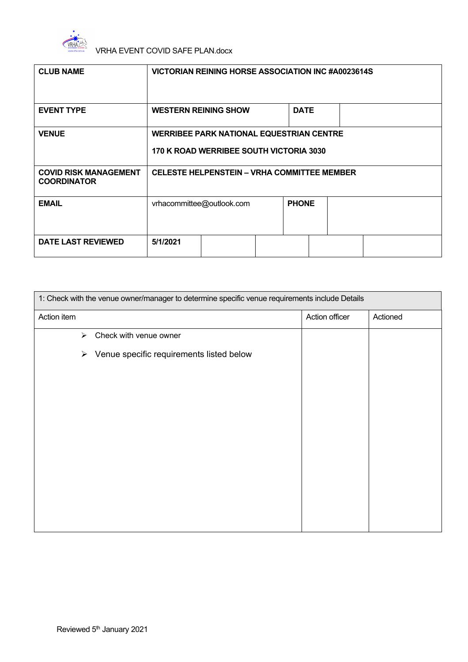

| <b>CLUB NAME</b>                                   | <b>VICTORIAN REINING HORSE ASSOCIATION INC #A0023614S</b>                                  |  |              |  |  |
|----------------------------------------------------|--------------------------------------------------------------------------------------------|--|--------------|--|--|
| <b>EVENT TYPE</b>                                  | <b>WESTERN REINING SHOW</b>                                                                |  | <b>DATE</b>  |  |  |
| <b>VENUE</b>                                       | <b>WERRIBEE PARK NATIONAL EQUESTRIAN CENTRE</b><br>170 K ROAD WERRIBEE SOUTH VICTORIA 3030 |  |              |  |  |
| <b>COVID RISK MANAGEMENT</b><br><b>COORDINATOR</b> | <b>CELESTE HELPENSTEIN - VRHA COMMITTEE MEMBER</b>                                         |  |              |  |  |
| <b>EMAIL</b>                                       | vrhacommittee@outlook.com                                                                  |  | <b>PHONE</b> |  |  |
| <b>DATE LAST REVIEWED</b>                          | 5/1/2021                                                                                   |  |              |  |  |

| 1: Check with the venue owner/manager to determine specific venue requirements include Details |                                          |                |          |
|------------------------------------------------------------------------------------------------|------------------------------------------|----------------|----------|
| Action item                                                                                    |                                          | Action officer | Actioned |
| $\blacktriangleright$                                                                          | Check with venue owner                   |                |          |
| $\blacktriangleright$                                                                          | Venue specific requirements listed below |                |          |
|                                                                                                |                                          |                |          |
|                                                                                                |                                          |                |          |
|                                                                                                |                                          |                |          |
|                                                                                                |                                          |                |          |
|                                                                                                |                                          |                |          |
|                                                                                                |                                          |                |          |
|                                                                                                |                                          |                |          |
|                                                                                                |                                          |                |          |
|                                                                                                |                                          |                |          |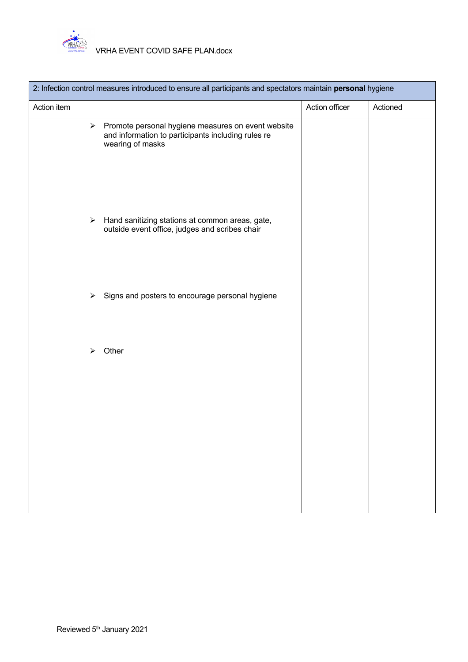

| 2: Infection control measures introduced to ensure all participants and spectators maintain personal hygiene |                                                                                                                              |                |          |
|--------------------------------------------------------------------------------------------------------------|------------------------------------------------------------------------------------------------------------------------------|----------------|----------|
| Action item                                                                                                  |                                                                                                                              | Action officer | Actioned |
| ➤                                                                                                            | Promote personal hygiene measures on event website<br>and information to participants including rules re<br>wearing of masks |                |          |
| $\blacktriangleright$                                                                                        | Hand sanitizing stations at common areas, gate,<br>outside event office, judges and scribes chair                            |                |          |
| ➤                                                                                                            | Signs and posters to encourage personal hygiene                                                                              |                |          |
| ⋗                                                                                                            | Other                                                                                                                        |                |          |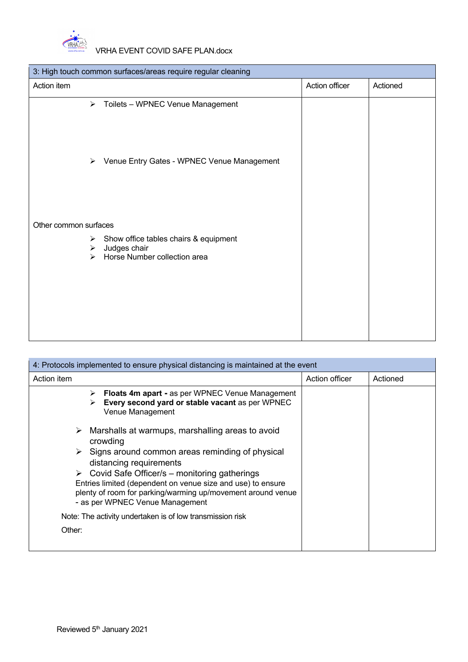

| 3: High touch common surfaces/areas require regular cleaning                                                             |                |          |  |
|--------------------------------------------------------------------------------------------------------------------------|----------------|----------|--|
| Action item                                                                                                              | Action officer | Actioned |  |
| $\blacktriangleright$<br>Toilets - WPNEC Venue Management                                                                |                |          |  |
| Venue Entry Gates - WPNEC Venue Management<br>➤                                                                          |                |          |  |
| Other common surfaces                                                                                                    |                |          |  |
| Show office tables chairs & equipment<br>$\blacktriangleright$<br>Judges chair<br>➤<br>Horse Number collection area<br>↘ |                |          |  |

|             | 4: Protocols implemented to ensure physical distancing is maintained at the event                                                                             |                |          |  |
|-------------|---------------------------------------------------------------------------------------------------------------------------------------------------------------|----------------|----------|--|
| Action item |                                                                                                                                                               | Action officer | Actioned |  |
|             | Floats 4m apart - as per WPNEC Venue Management<br>➤<br>Every second yard or stable vacant as per WPNEC<br>Venue Management                                   |                |          |  |
| ➤           | Marshalls at warmups, marshalling areas to avoid<br>crowding                                                                                                  |                |          |  |
|             | $\triangleright$ Signs around common areas reminding of physical<br>distancing requirements                                                                   |                |          |  |
|             | $\triangleright$ Covid Safe Officer/s – monitoring gatherings                                                                                                 |                |          |  |
|             | Entries limited (dependent on venue size and use) to ensure<br>plenty of room for parking/warming up/movement around venue<br>- as per WPNEC Venue Management |                |          |  |
|             | Note: The activity undertaken is of low transmission risk                                                                                                     |                |          |  |
| Other:      |                                                                                                                                                               |                |          |  |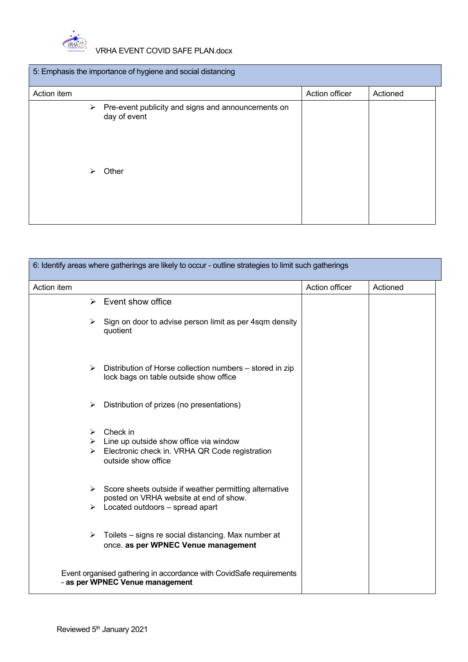

| 5: Emphasis the importance of hygiene and social distancing |                                                                             |                |          |
|-------------------------------------------------------------|-----------------------------------------------------------------------------|----------------|----------|
| Action item                                                 |                                                                             | Action officer | Actioned |
| ➤<br>⋗                                                      | Pre-event publicity and signs and announcements on<br>day of event<br>Other |                |          |
|                                                             |                                                                             |                |          |

| 6: Identify areas where gatherings are likely to occur - outline strategies to limit such gatherings |                                                                                                                     |                |          |
|------------------------------------------------------------------------------------------------------|---------------------------------------------------------------------------------------------------------------------|----------------|----------|
| Action item                                                                                          |                                                                                                                     | Action officer | Actioned |
|                                                                                                      | $\triangleright$ Event show office                                                                                  |                |          |
|                                                                                                      | $\triangleright$ Sign on door to advise person limit as per 4sqm density<br>quotient                                |                |          |
|                                                                                                      | $\triangleright$ Distribution of Horse collection numbers – stored in zip<br>lock bags on table outside show office |                |          |
| ➤                                                                                                    | Distribution of prizes (no presentations)                                                                           |                |          |
| ➤                                                                                                    | Check in                                                                                                            |                |          |
|                                                                                                      | $\triangleright$ Line up outside show office via window                                                             |                |          |
| $\triangleright$                                                                                     | Electronic check in. VRHA QR Code registration<br>outside show office                                               |                |          |
|                                                                                                      | $\triangleright$ Score sheets outside if weather permitting alternative                                             |                |          |
|                                                                                                      | posted on VRHA website at end of show.<br>$\triangleright$ Located outdoors – spread apart                          |                |          |
| $\blacktriangleright$                                                                                | Toilets - signs re social distancing. Max number at<br>once. as per WPNEC Venue management                          |                |          |
|                                                                                                      | Event organised gathering in accordance with CovidSafe requirements<br>- as per WPNEC Venue management              |                |          |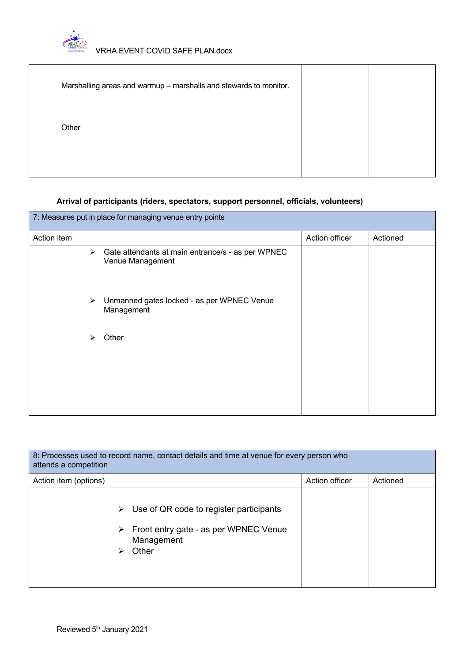

| Marshalling areas and warmup - marshalls and stewards to monitor. |  |
|-------------------------------------------------------------------|--|
| Other                                                             |  |
|                                                                   |  |

# **Arrival of participants (riders, spectators, support personnel, officials, volunteers)**

|             | 7: Measures put in place for managing venue entry points              |                |          |
|-------------|-----------------------------------------------------------------------|----------------|----------|
| Action item |                                                                       | Action officer | Actioned |
| ≻           | Gate attendants at main entrance/s - as per WPNEC<br>Venue Management |                |          |
| ≻           | Unmanned gates locked - as per WPNEC Venue<br>Management              |                |          |
| ⋗           | Other                                                                 |                |          |

| 8: Processes used to record name, contact details and time at venue for every person who<br>attends a competition                         |                |          |  |
|-------------------------------------------------------------------------------------------------------------------------------------------|----------------|----------|--|
| Action item (options)                                                                                                                     | Action officer | Actioned |  |
| $\triangleright$ Use of QR code to register participants<br>$\triangleright$ Front entry gate - as per WPNEC Venue<br>Management<br>Other |                |          |  |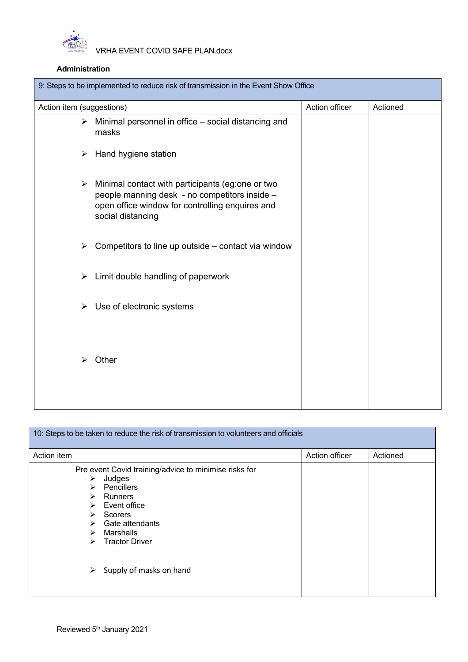

# **Administration**

| 9: Steps to be implemented to reduce risk of transmission in the Event Show Office |                                                                                                                                                                           |                |          |  |
|------------------------------------------------------------------------------------|---------------------------------------------------------------------------------------------------------------------------------------------------------------------------|----------------|----------|--|
| Action item (suggestions)                                                          |                                                                                                                                                                           | Action officer | Actioned |  |
|                                                                                    | $\triangleright$ Minimal personnel in office – social distancing and<br>masks                                                                                             |                |          |  |
|                                                                                    | $\triangleright$ Hand hygiene station                                                                                                                                     |                |          |  |
| $\blacktriangleright$                                                              | Minimal contact with participants (eg:one or two<br>people manning desk - no competitors inside -<br>open office window for controlling enquires and<br>social distancing |                |          |  |
| $\blacktriangleright$                                                              | Competitors to line up outside – contact via window                                                                                                                       |                |          |  |
| ➤                                                                                  | Limit double handling of paperwork                                                                                                                                        |                |          |  |
| ➤                                                                                  | Use of electronic systems                                                                                                                                                 |                |          |  |
| ⋗                                                                                  | Other                                                                                                                                                                     |                |          |  |

|                                                | 10: Steps to be taken to reduce the risk of transmission to volunteers and officials                                                                                                                        |                |          |
|------------------------------------------------|-------------------------------------------------------------------------------------------------------------------------------------------------------------------------------------------------------------|----------------|----------|
| Action item                                    |                                                                                                                                                                                                             | Action officer | Actioned |
| ➤<br>$\triangleright$<br>➤<br>≻<br>➤<br>≻<br>➤ | Pre event Covid training/advice to minimise risks for<br>Judges<br>Pencillers<br><b>Runners</b><br>$\triangleright$ Event office<br><b>Scorers</b><br>Gate attendants<br>Marshalls<br><b>Tractor Driver</b> |                |          |
| ➤                                              | Supply of masks on hand                                                                                                                                                                                     |                |          |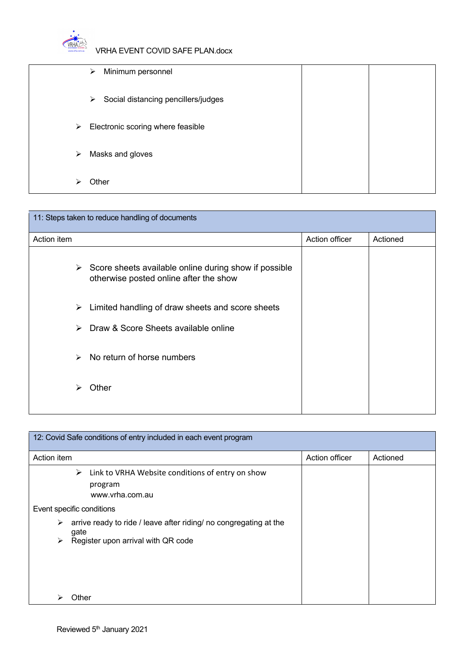

|                       | Minimum personnel<br>➤                   |  |
|-----------------------|------------------------------------------|--|
|                       | Social distancing pencillers/judges<br>➤ |  |
| $\blacktriangleright$ | Electronic scoring where feasible        |  |
| $\blacktriangleright$ | Masks and gloves                         |  |
|                       | Other                                    |  |

| 11: Steps taken to reduce handling of documents |                                                                                                                  |                |          |  |
|-------------------------------------------------|------------------------------------------------------------------------------------------------------------------|----------------|----------|--|
| Action item                                     |                                                                                                                  | Action officer | Actioned |  |
|                                                 | $\triangleright$ Score sheets available online during show if possible<br>otherwise posted online after the show |                |          |  |
| ➤                                               | Limited handling of draw sheets and score sheets                                                                 |                |          |  |
| ➤                                               | Draw & Score Sheets available online                                                                             |                |          |  |
| $\blacktriangleright$                           | No return of horse numbers                                                                                       |                |          |  |
| ⋗                                               | Other                                                                                                            |                |          |  |
|                                                 |                                                                                                                  |                |          |  |

| 12: Covid Safe conditions of entry included in each event program                                                         |                |          |
|---------------------------------------------------------------------------------------------------------------------------|----------------|----------|
| Action item                                                                                                               | Action officer | Actioned |
| Link to VRHA Website conditions of entry on show<br>➤<br>program<br>www.vrha.com.au                                       |                |          |
| Event specific conditions                                                                                                 |                |          |
| arrive ready to ride / leave after riding/ no congregating at the<br>➤<br>gate<br>Register upon arrival with QR code<br>➤ |                |          |
| Other                                                                                                                     |                |          |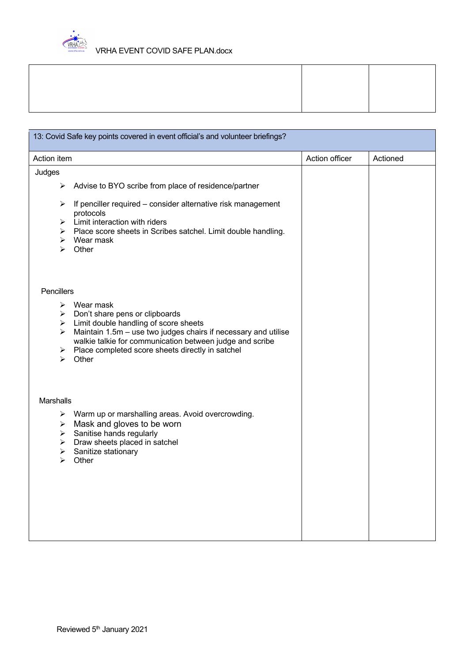

| 13: Covid Safe key points covered in event official's and volunteer briefings?                                                                                                                                             |                |          |
|----------------------------------------------------------------------------------------------------------------------------------------------------------------------------------------------------------------------------|----------------|----------|
| Action item                                                                                                                                                                                                                | Action officer | Actioned |
| Judges                                                                                                                                                                                                                     |                |          |
| Advise to BYO scribe from place of residence/partner<br>➤                                                                                                                                                                  |                |          |
| If penciller required – consider alternative risk management<br>➤<br>protocols<br>Limit interaction with riders<br>➤<br>Place score sheets in Scribes satchel. Limit double handling.<br>➤<br>Wear mask<br>➤<br>Other<br>≻ |                |          |
| Pencillers                                                                                                                                                                                                                 |                |          |
| Wear mask<br>≻                                                                                                                                                                                                             |                |          |
| Don't share pens or clipboards<br>➤                                                                                                                                                                                        |                |          |
| Limit double handling of score sheets<br>➤<br>Maintain 1.5m - use two judges chairs if necessary and utilise<br>➤                                                                                                          |                |          |
| walkie talkie for communication between judge and scribe                                                                                                                                                                   |                |          |
| Place completed score sheets directly in satchel<br>➤<br>Other<br>$\blacktriangleright$                                                                                                                                    |                |          |
| <b>Marshalls</b><br>Warm up or marshalling areas. Avoid overcrowding.<br>➤<br>Mask and gloves to be worn<br>➤                                                                                                              |                |          |
| Sanitise hands regularly<br>➤                                                                                                                                                                                              |                |          |
| Draw sheets placed in satchel<br>➤<br>Sanitize stationary<br>➤                                                                                                                                                             |                |          |
| ➤<br>Other                                                                                                                                                                                                                 |                |          |
|                                                                                                                                                                                                                            |                |          |
|                                                                                                                                                                                                                            |                |          |
|                                                                                                                                                                                                                            |                |          |
|                                                                                                                                                                                                                            |                |          |
|                                                                                                                                                                                                                            |                |          |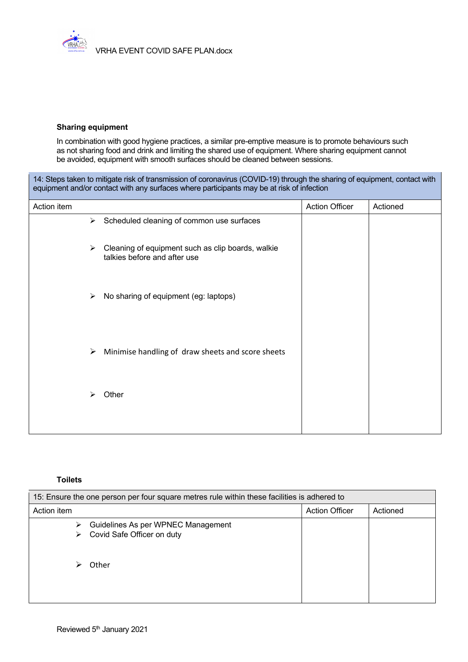

## **Sharing equipment**

In combination with good hygiene practices, a similar pre-emptive measure is to promote behaviours such as not sharing food and drink and limiting the shared use of equipment. Where sharing equipment cannot be avoided, equipment with smooth surfaces should be cleaned between sessions.

14: Steps taken to mitigate risk of transmission of coronavirus (COVID-19) through the sharing of equipment, contact with equipment and/or contact with any surfaces where participants may be at risk of infection

| Action item           |                                                                                   | <b>Action Officer</b> | Actioned |
|-----------------------|-----------------------------------------------------------------------------------|-----------------------|----------|
| $\blacktriangleright$ | Scheduled cleaning of common use surfaces                                         |                       |          |
| $\blacktriangleright$ | Cleaning of equipment such as clip boards, walkie<br>talkies before and after use |                       |          |
| $\blacktriangleright$ | No sharing of equipment (eg: laptops)                                             |                       |          |
| $\blacktriangleright$ | Minimise handling of draw sheets and score sheets                                 |                       |          |
| ⋗                     | Other                                                                             |                       |          |
|                       |                                                                                   |                       |          |

## **Toilets**

| 15: Ensure the one person per four square metres rule within these facilities is adhered to |                                                                  |  |  |  |
|---------------------------------------------------------------------------------------------|------------------------------------------------------------------|--|--|--|
| Action item<br><b>Action Officer</b><br>Actioned                                            |                                                                  |  |  |  |
| ➤<br>⋗                                                                                      | Guidelines As per WPNEC Management<br>Covid Safe Officer on duty |  |  |  |
|                                                                                             | Other                                                            |  |  |  |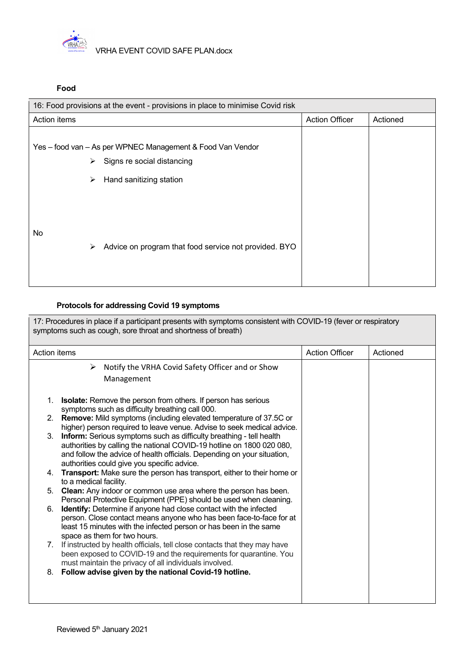

### **Food**

| 16: Food provisions at the event - provisions in place to minimise Covid risk |                                                                                                                               |                       |          |  |
|-------------------------------------------------------------------------------|-------------------------------------------------------------------------------------------------------------------------------|-----------------------|----------|--|
| Action items                                                                  |                                                                                                                               | <b>Action Officer</b> | Actioned |  |
|                                                                               | Yes - food van - As per WPNEC Management & Food Van Vendor<br>Signs re social distancing<br>➤<br>Hand sanitizing station<br>➤ |                       |          |  |
| No                                                                            | Advice on program that food service not provided. BYO<br>≻                                                                    |                       |          |  |

# **Protocols for addressing Covid 19 symptoms**

| 17: Procedures in place if a participant presents with symptoms consistent with COVID-19 (fever or respiratory<br>symptoms such as cough, sore throat and shortness of breath)                                                                                                                                                                                                                                                                                                                                                       |                       |          |
|--------------------------------------------------------------------------------------------------------------------------------------------------------------------------------------------------------------------------------------------------------------------------------------------------------------------------------------------------------------------------------------------------------------------------------------------------------------------------------------------------------------------------------------|-----------------------|----------|
| <b>Action items</b>                                                                                                                                                                                                                                                                                                                                                                                                                                                                                                                  | <b>Action Officer</b> | Actioned |
| Notify the VRHA Covid Safety Officer and or Show<br>➤<br>Management                                                                                                                                                                                                                                                                                                                                                                                                                                                                  |                       |          |
| Isolate: Remove the person from others. If person has serious<br>1.<br>symptoms such as difficulty breathing call 000.<br>Remove: Mild symptoms (including elevated temperature of 37.5C or<br>2 <sub>1</sub><br>higher) person required to leave venue. Advise to seek medical advice.<br>Inform: Serious symptoms such as difficulty breathing - tell health<br>3 <sub>1</sub><br>authorities by calling the national COVID-19 hotline on 1800 020 080,<br>and follow the advice of health officials. Depending on your situation, |                       |          |
| authorities could give you specific advice.<br>Transport: Make sure the person has transport, either to their home or<br>4.<br>to a medical facility.                                                                                                                                                                                                                                                                                                                                                                                |                       |          |
| <b>Clean:</b> Any indoor or common use area where the person has been.<br>5.<br>Personal Protective Equipment (PPE) should be used when cleaning.                                                                                                                                                                                                                                                                                                                                                                                    |                       |          |
| Identify: Determine if anyone had close contact with the infected<br>6.<br>person. Close contact means anyone who has been face-to-face for at<br>least 15 minutes with the infected person or has been in the same<br>space as them for two hours.                                                                                                                                                                                                                                                                                  |                       |          |
| If instructed by health officials, tell close contacts that they may have<br>$7_{\scriptscriptstyle{\sim}}$<br>been exposed to COVID-19 and the requirements for quarantine. You<br>must maintain the privacy of all individuals involved.                                                                                                                                                                                                                                                                                           |                       |          |
| Follow advise given by the national Covid-19 hotline.<br>8.                                                                                                                                                                                                                                                                                                                                                                                                                                                                          |                       |          |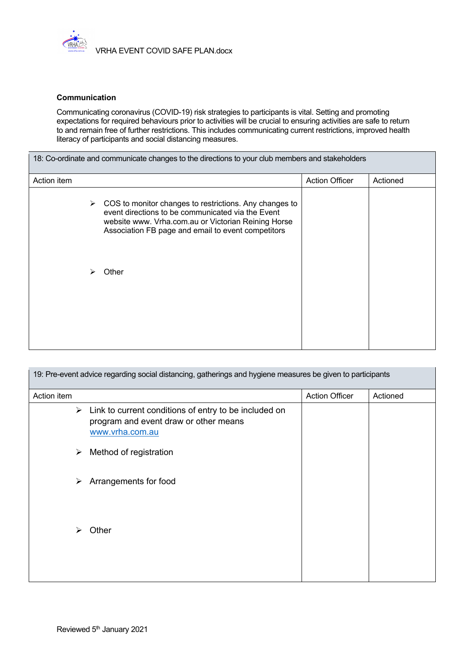

#### **Communication**

Communicating coronavirus (COVID-19) risk strategies to participants is vital. Setting and promoting expectations for required behaviours prior to activities will be crucial to ensuring activities are safe to return to and remain free of further restrictions. This includes communicating current restrictions, improved health literacy of participants and social distancing measures.

| Action item |   |                                                                                                                                                                                                                          | <b>Action Officer</b> | Actioned |
|-------------|---|--------------------------------------------------------------------------------------------------------------------------------------------------------------------------------------------------------------------------|-----------------------|----------|
|             | ➤ | COS to monitor changes to restrictions. Any changes to<br>event directions to be communicated via the Event<br>website www. Vrha.com.au or Victorian Reining Horse<br>Association FB page and email to event competitors |                       |          |
|             | ➤ | Other                                                                                                                                                                                                                    |                       |          |
|             |   |                                                                                                                                                                                                                          |                       |          |

| 19: Pre-event advice regarding social distancing, gatherings and hygiene measures be given to participants |                                                                                                                   |                       |          |
|------------------------------------------------------------------------------------------------------------|-------------------------------------------------------------------------------------------------------------------|-----------------------|----------|
| Action item                                                                                                |                                                                                                                   | <b>Action Officer</b> | Actioned |
| ➤                                                                                                          | Link to current conditions of entry to be included on<br>program and event draw or other means<br>www.vrha.com.au |                       |          |
| ➤                                                                                                          | Method of registration                                                                                            |                       |          |
| ➤                                                                                                          | Arrangements for food                                                                                             |                       |          |
| ➤                                                                                                          | Other                                                                                                             |                       |          |
|                                                                                                            |                                                                                                                   |                       |          |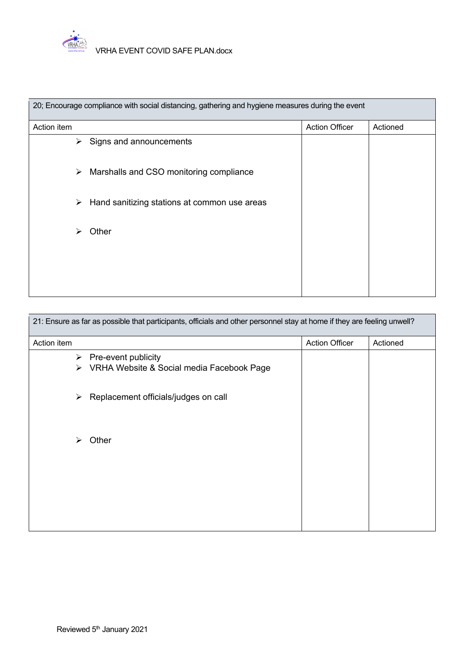

| 20; Encourage compliance with social distancing, gathering and hygiene measures during the event |                                              |                       |          |  |
|--------------------------------------------------------------------------------------------------|----------------------------------------------|-----------------------|----------|--|
| Action item                                                                                      |                                              | <b>Action Officer</b> | Actioned |  |
| ➤                                                                                                | Signs and announcements                      |                       |          |  |
| ➤                                                                                                | Marshalls and CSO monitoring compliance      |                       |          |  |
| ➤                                                                                                | Hand sanitizing stations at common use areas |                       |          |  |
| ➤                                                                                                | Other                                        |                       |          |  |
|                                                                                                  |                                              |                       |          |  |
|                                                                                                  |                                              |                       |          |  |

| 21: Ensure as far as possible that participants, officials and other personnel stay at home if they are feeling unwell? |                                                                  |                       |          |  |  |
|-------------------------------------------------------------------------------------------------------------------------|------------------------------------------------------------------|-----------------------|----------|--|--|
| Action item                                                                                                             |                                                                  | <b>Action Officer</b> | Actioned |  |  |
| ➤<br>➤                                                                                                                  | Pre-event publicity<br>VRHA Website & Social media Facebook Page |                       |          |  |  |
| ➤                                                                                                                       | Replacement officials/judges on call                             |                       |          |  |  |
| ➤                                                                                                                       | Other                                                            |                       |          |  |  |
|                                                                                                                         |                                                                  |                       |          |  |  |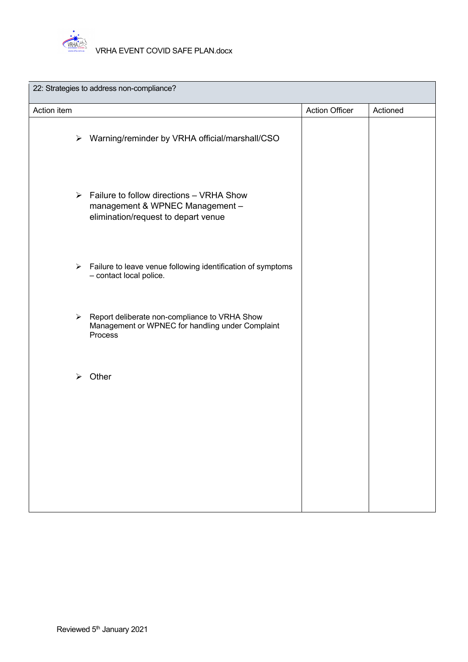

| 22: Strategies to address non-compliance? |                                                                                                                                     |                       |          |  |
|-------------------------------------------|-------------------------------------------------------------------------------------------------------------------------------------|-----------------------|----------|--|
| Action item                               |                                                                                                                                     | <b>Action Officer</b> | Actioned |  |
|                                           | > Warning/reminder by VRHA official/marshall/CSO                                                                                    |                       |          |  |
|                                           | $\triangleright$ Failure to follow directions – VRHA Show<br>management & WPNEC Management -<br>elimination/request to depart venue |                       |          |  |
|                                           | $\triangleright$ Failure to leave venue following identification of symptoms<br>- contact local police.                             |                       |          |  |
|                                           | > Report deliberate non-compliance to VRHA Show<br>Management or WPNEC for handling under Complaint<br>Process                      |                       |          |  |
|                                           | $\triangleright$ Other                                                                                                              |                       |          |  |
|                                           |                                                                                                                                     |                       |          |  |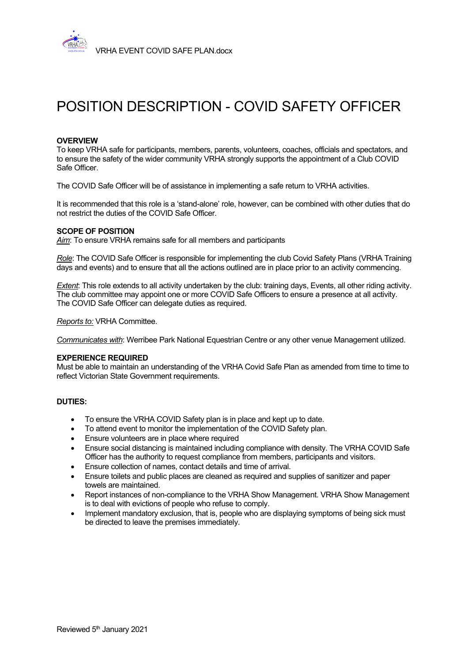

# POSITION DESCRIPTION - COVID SAFETY OFFICER

#### **OVERVIEW**

To keep VRHA safe for participants, members, parents, volunteers, coaches, officials and spectators, and to ensure the safety of the wider community VRHA strongly supports the appointment of a Club COVID Safe Officer.

The COVID Safe Officer will be of assistance in implementing a safe return to VRHA activities.

It is recommended that this role is a 'stand-alone' role, however, can be combined with other duties that do not restrict the duties of the COVID Safe Officer.

#### **SCOPE OF POSITION**

*Aim*: To ensure VRHA remains safe for all members and participants

*Role*: The COVID Safe Officer is responsible for implementing the club Covid Safety Plans (VRHA Training days and events) and to ensure that all the actions outlined are in place prior to an activity commencing.

*Extent*: This role extends to all activity undertaken by the club: training days, Events, all other riding activity. The club committee may appoint one or more COVID Safe Officers to ensure a presence at all activity. The COVID Safe Officer can delegate duties as required.

*Reports to:* VRHA Committee.

*Communicates with*: Werribee Park National Equestrian Centre or any other venue Management utilized.

#### **EXPERIENCE REQUIRED**

Must be able to maintain an understanding of the VRHA Covid Safe Plan as amended from time to time to reflect Victorian State Government requirements.

### **DUTIES:**

- To ensure the VRHA COVID Safety plan is in place and kept up to date.
- To attend event to monitor the implementation of the COVID Safety plan.
- Ensure volunteers are in place where required
- Ensure social distancing is maintained including compliance with density. The VRHA COVID Safe Officer has the authority to request compliance from members, participants and visitors.
- Ensure collection of names, contact details and time of arrival.
- Ensure toilets and public places are cleaned as required and supplies of sanitizer and paper towels are maintained.
- Report instances of non-compliance to the VRHA Show Management. VRHA Show Management is to deal with evictions of people who refuse to comply.
- Implement mandatory exclusion, that is, people who are displaying symptoms of being sick must be directed to leave the premises immediately.